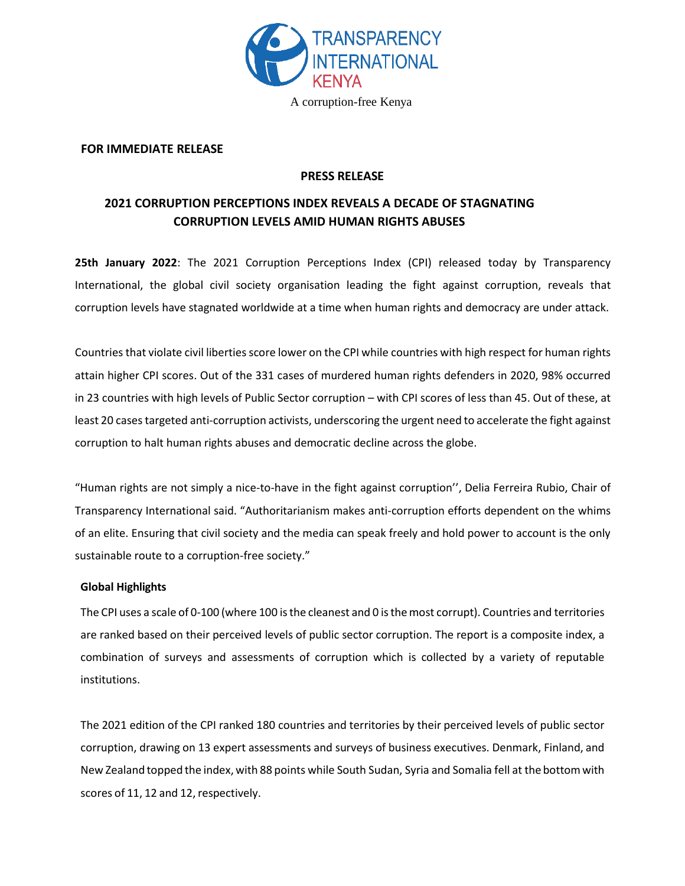

#### **FOR IMMEDIATE RELEASE**

## **PRESS RELEASE**

## **2021 CORRUPTION PERCEPTIONS INDEX REVEALS A DECADE OF STAGNATING CORRUPTION LEVELS AMID HUMAN RIGHTS ABUSES**

**25th January 2022**: The 2021 Corruption Perceptions Index (CPI) released today by Transparency International, the global civil society organisation leading the fight against corruption, reveals that corruption levels have stagnated worldwide at a time when human rights and democracy are under attack.

Countries that violate civil liberties score lower on the CPI while countries with high respect for human rights attain higher CPI scores. Out of the 331 cases of murdered human rights defenders in 2020, 98% occurred in 23 countries with high levels of Public Sector corruption – with CPI scores of less than 45. Out of these, at least 20 cases targeted anti-corruption activists, underscoring the urgent need to accelerate the fight against corruption to halt human rights abuses and democratic decline across the globe.

"Human rights are not simply a nice-to-have in the fight against corruption'', Delia Ferreira Rubio, Chair of Transparency International said. "Authoritarianism makes anti-corruption efforts dependent on the whims of an elite. Ensuring that civil society and the media can speak freely and hold power to account is the only sustainable route to a corruption-free society."

### **Global Highlights**

The CPI uses a scale of 0-100 (where 100 isthe cleanest and 0 isthemost corrupt). Countries and territories are ranked based on their perceived levels of public sector corruption. The report is a composite index, a combination of surveys and assessments of corruption which is collected by a variety of reputable institutions.

The 2021 edition of the CPI ranked 180 countries and territories by their perceived levels of public sector corruption, drawing on 13 expert assessments and surveys of business executives. Denmark, Finland, and New Zealand topped the index, with 88 points while South Sudan, Syria and Somalia fell at the bottomwith scores of 11, 12 and 12, respectively.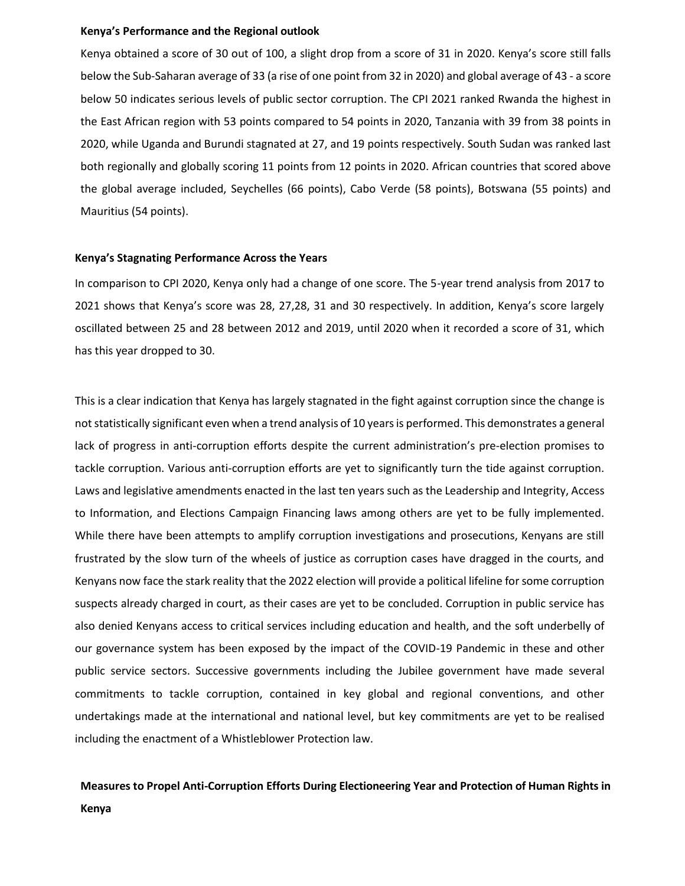#### **Kenya's Performance and the Regional outlook**

Kenya obtained a score of 30 out of 100, a slight drop from a score of 31 in 2020. Kenya's score still falls below the Sub-Saharan average of 33 (a rise of one point from 32 in 2020) and global average of 43 - a score below 50 indicates serious levels of public sector corruption. The CPI 2021 ranked Rwanda the highest in the East African region with 53 points compared to 54 points in 2020, Tanzania with 39 from 38 points in 2020, while Uganda and Burundi stagnated at 27, and 19 points respectively. South Sudan was ranked last both regionally and globally scoring 11 points from 12 points in 2020. African countries that scored above the global average included, Seychelles (66 points), Cabo Verde (58 points), Botswana (55 points) and Mauritius (54 points).

#### **Kenya's Stagnating Performance Across the Years**

In comparison to CPI 2020, Kenya only had a change of one score. The 5-year trend analysis from 2017 to 2021 shows that Kenya's score was 28, 27,28, 31 and 30 respectively. In addition, Kenya's score largely oscillated between 25 and 28 between 2012 and 2019, until 2020 when it recorded a score of 31, which has this year dropped to 30.

This is a clear indication that Kenya has largely stagnated in the fight against corruption since the change is not statistically significant even when a trend analysis of 10 years is performed. This demonstrates a general lack of progress in anti-corruption efforts despite the current administration's pre-election promises to tackle corruption. Various anti-corruption efforts are yet to significantly turn the tide against corruption. Laws and legislative amendments enacted in the last ten years such as the Leadership and Integrity, Access to Information, and Elections Campaign Financing laws among others are yet to be fully implemented. While there have been attempts to amplify corruption investigations and prosecutions, Kenyans are still frustrated by the slow turn of the wheels of justice as corruption cases have dragged in the courts, and Kenyans now face the stark reality that the 2022 election will provide a political lifeline for some corruption suspects already charged in court, as their cases are yet to be concluded. Corruption in public service has also denied Kenyans access to critical services including education and health, and the soft underbelly of our governance system has been exposed by the impact of the COVID-19 Pandemic in these and other public service sectors. Successive governments including the Jubilee government have made several commitments to tackle corruption, contained in key global and regional conventions, and other undertakings made at the international and national level, but key commitments are yet to be realised including the enactment of a Whistleblower Protection law.

# **Measures to Propel Anti-Corruption Efforts During Electioneering Year and Protection of Human Rights in Kenya**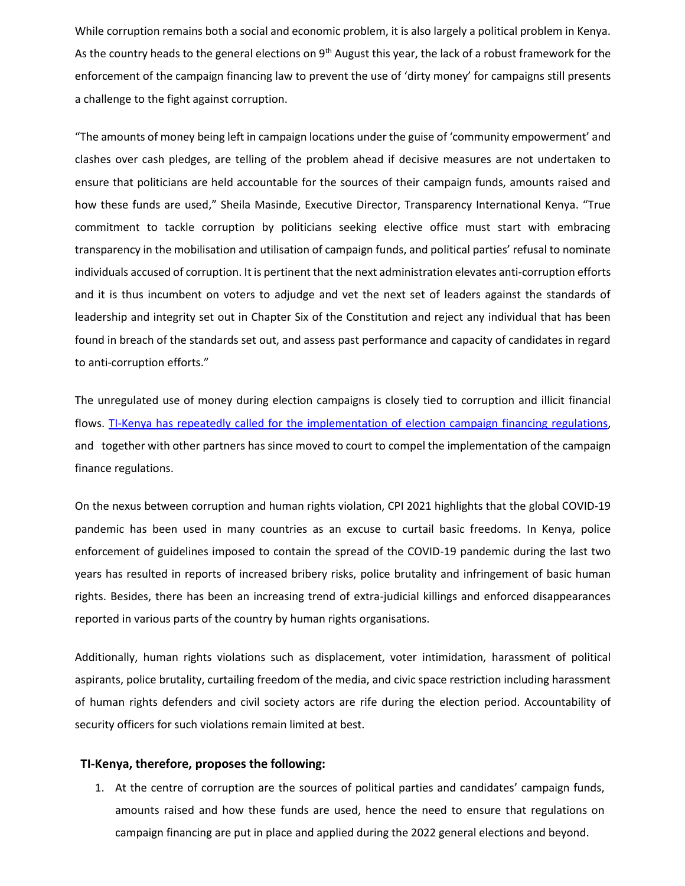While corruption remains both a social and economic problem, it is also largely a political problem in Kenya. As the country heads to the general elections on 9<sup>th</sup> August this year, the lack of a robust framework for the enforcement of the campaign financing law to prevent the use of 'dirty money' for campaigns still presents a challenge to the fight against corruption.

"The amounts of money being left in campaign locations under the guise of 'community empowerment' and clashes over cash pledges, are telling of the problem ahead if decisive measures are not undertaken to ensure that politicians are held accountable for the sources of their campaign funds, amounts raised and how these funds are used," Sheila Masinde, Executive Director, Transparency International Kenya. "True commitment to tackle corruption by politicians seeking elective office must start with embracing transparency in the mobilisation and utilisation of campaign funds, and political parties' refusal to nominate individuals accused of corruption. It is pertinent that the next administration elevates anti-corruption efforts and it is thus incumbent on voters to adjudge and vet the next set of leaders against the standards of leadership and integrity set out in Chapter Six of the Constitution and reject any individual that has been found in breach of the standards set out, and assess past performance and capacity of candidates in regard to anti-corruption efforts."

The unregulated use of money during election campaigns is closely tied to corruption and illicit financial flows. TI-Kenya [has repeatedly called for the implementation of election campaign financing regulations,](https://tikenya.org/joint-civil-society-statement-on-the-election-campaign-financing-standoff/) and together with other partners has since moved to court to compel the implementation of the campaign finance regulations.

On the nexus between corruption and human rights violation, CPI 2021 highlights that the global COVID-19 pandemic has been used in many countries as an excuse to curtail basic freedoms. In Kenya, police enforcement of guidelines imposed to contain the spread of the COVID-19 pandemic during the last two years has resulted in reports of increased bribery risks, police brutality and infringement of basic human rights. Besides, there has been an increasing trend of extra-judicial killings and enforced disappearances reported in various parts of the country by human rights organisations.

Additionally, human rights violations such as displacement, voter intimidation, harassment of political aspirants, police brutality, curtailing freedom of the media, and civic space restriction including harassment of human rights defenders and civil society actors are rife during the election period. Accountability of security officers for such violations remain limited at best.

#### **TI-Kenya, therefore, proposes the following:**

1. At the centre of corruption are the sources of political parties and candidates' campaign funds, amounts raised and how these funds are used, hence the need to ensure that regulations on campaign financing are put in place and applied during the 2022 general elections and beyond.